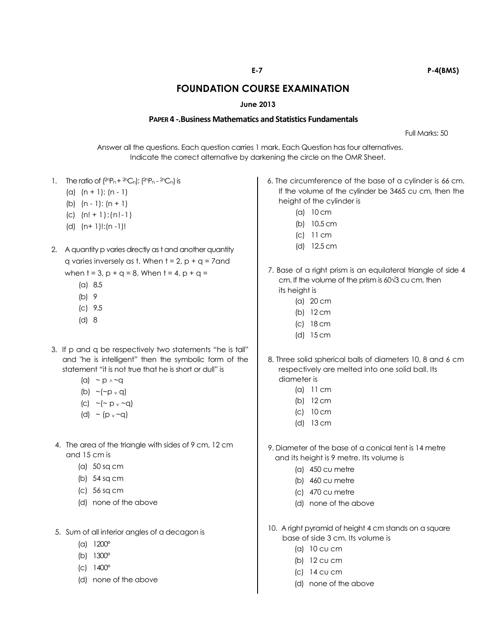## **FOUNDATION COURSE EXAMINATION**

## **June 2013**

## **PAPER 4 -.Business Mathematics and Statistics Fundamentals**

Full Marks: 50

Answer all the questions. Each question carries 1 mark. Each Question has four alternatives. Indicate the correct alternative by darkening the circle on the OMR Sheet.

- 1. The ratio of  $(^{2n}P_n + ^{2n}C_n)$ :  $(^{2n}P_n ^{2n}C_n)$  is
	- (a)  $(n + 1)$ :  $(n 1)$
	- (b)  $(n 1)$ :  $(n + 1)$
	- (c) (n! + 1):(n!-1)
	- (d) (n+ 1)!:(n -1)!
- 2. A quantity p varies directly as t and another quantity q varies inversely as t. When  $t = 2$ ,  $p + q = 7$  and when  $t = 3$ ,  $p + q = 8$ . When  $t = 4$ ,  $p + q =$ 
	- (a) 8.5
	- (b) 9
	- (c) 9.5
	- (d) 8
- 3. If p and q be respectively two statements "he is tall" and "he is intelligent" then the symbolic form of the statement "it is not true that he is short or dull" is
	- (a)  $\sim p \wedge \sim q$
	- (b)  $\sim$  ( $\sim$  p  $\rm{v}$  q)
	- (c)  $\sim$  ( $\sim$  p  $\sim$   $\sim$  q)
	- (d)  $\sim$  (p  $\sim$  -q)
- 4. The area of the triangle with sides of 9 cm, 12 cm and 15 cm is
	- (a) 50 sq cm
	- (b) 54 sq cm
	- (c) 56 sq cm
	- (d) none of the above
- 5. Sum of all interior angles of a decagon is
	- (a) 1200°
	- (b) 1300°
	- (c) 1400°
	- (d) none of the above
- 6. The circumference of the base of a cylinder is 66 cm. If the volume of the cylinder be 3465 cu cm, then the height of the cylinder is
	- (a) 10 cm
	- (b) 10.5 cm
	- (c) 11 cm
	- (d) 12.5 cm
- 7. Base of a right prism is an equilateral triangle of side 4 cm. If the volume of the prism is 60√3 cu cm, then its height is
	- (a) 20 cm
	- (b) 12 cm
	- (c) 18 cm
	- (d) 15 cm
- 8. Three solid spherical balls of diameters 10, 8 and 6 cm respectively are melted into one solid ball. Its diameter is
	- (a) 11 cm
	- (b) 12 cm
	- (c) 10 cm
	- (d) 13 cm
- 9. Diameter of the base of a conical tent is 14 metre and its height is 9 metre. Its volume is
	- (a) 450 cu metre
	- (b) 460 cu metre
	- (c) 470 cu metre
	- (d) none of the above
- 10. A right pyramid of height 4 cm stands on a square base of side 3 cm. Its volume is
	- (a) 10 cu cm
	- (b) 12 cu cm
	- (c) 14 cu cm
	- (d) none of the above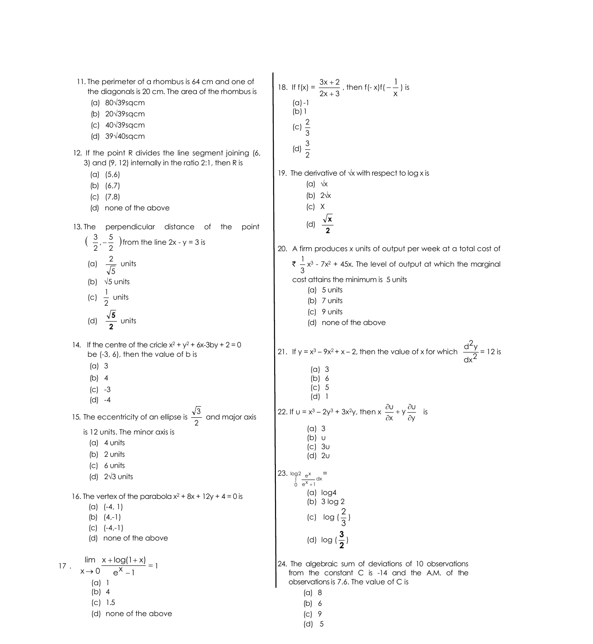11. The perimeter of a rhombus is 64 cm and one of the diagonals is 20 cm. The area of the rhombus is (a) 80√39sqcm (b) 20√39sqcm (c) 40√39sqcm (d) 39√40sqcm 12. If the point R divides the line segment joining (6, 3) and (9, 12) internally in the ratio 2:1, then R is (a) (5,6) (b) (6,7) (c) (7,8) (d) none of the above 13. The perpendicular distance of the point  $(\frac{8}{2},-\frac{8}{2})$  $\frac{3}{2}$ ,  $-\frac{5}{2}$  $\frac{3}{2}$ ,  $-\frac{5}{3}$  ) from the line 2x - y = 3 is (a) 5  $\frac{2}{\sqrt{2}}$  units (b) √5 units (c) 2 1<br>– units (d) **2 5** units 14. If the centre of the cricle  $x^2 + y^2 + 6x - 3$  by  $x + 2 = 0$ be (-3, 6), then the value of b is (a) 3 (b) 4 (c) -3 (d) -4 15. The eccentricity of an ellipse is  $\frac{1}{2}$ 3 and major axis is 12 units. The minor axis is (a) 4 units (b) 2 units (c) 6 units (d) 2√3 units 16. The vertex of the parabola  $x^2 + 8x + 12y + 4 = 0$  is (a) (-4, 1) (b) (4,-1)  $(C)$   $(-4,-1)$ (d) none of the above 17 .  $\frac{m_1}{2}$   $\frac{\lambda + \log(1 + \lambda)}{x}$  = - $+ log(1 +$  $\rightarrow 0$  e<sup>x</sup> -1  $x + log(1 + x)$  $x \rightarrow 0$  $\lim_{x \to 0} \frac{x + \log(1+x)}{x} = 1$ (a) 1 (b) 4 (c) 1.5 (d) none of the above 18. If  $f(x) = \frac{3x+2}{2x+3}$  $3x + 2$  $\ddot{}$  $\frac{+2}{+3}$  , then f(- x)f(  $-\frac{1}{x}$  $-\frac{1}{n}$ ) is  $(a) - 1$  $(b)1$ (c) 3 2 (d) 2 3 19. The derivative of √x with respect to log x is (a)  $\sqrt{x}$ (b) 2√x  $|C|$  X (d) **2 x** 20. A firm produces *x* units of output per week at a total cost of ₹ ÷<br>3  $\frac{1}{6}$  x<sup>3</sup> - 7x<sup>2</sup> + 45x. The level of output at which the marginal cost attains the minimum is 5 units (a) 5 units (b) 7 units (c) 9 units (d) none of the above 21. If y =  $x^3 - 9x^2 + x - 2$ , then the value of x for which  $\frac{d^2y}{dx^2}$  $\frac{d^2y}{2}$  = 12 is (a) 3  $(b) 6$ (c) 5 (d) 1 22. If  $u = x^3 - 2y^3 + 3x^2y$ , then  $x \frac{\partial}{\partial x} + y \frac{\partial}{\partial y}$  $\frac{U}{X} + y \frac{\partial U}{\partial y}$ u  $\partial$  $\frac{\partial U}{\partial x} + y \frac{\partial}{\partial y}$  $\frac{\partial U}{\partial x} + y \frac{\partial U}{\partial y}$  is (a) 3 (b) u (c) 3u (d) 2u 23.  $log2 e^x$  dx  $0 e^{X} + 1$  $\int_{0}^{92} \frac{e^{x}}{e^{x}+1}$ = (a) log4 (b) 3 log 2 (c)  $log(\frac{2}{3})$  $\frac{2}{2}$ (d) log ( **2**  $\frac{3}{2}$ 24. The algebraic sum of deviations of 10 observations from the constant C is -14 and the A.M. of the observations is 7.6. The value of C is (a) 8 (b) 6 (c) 9 (d) 5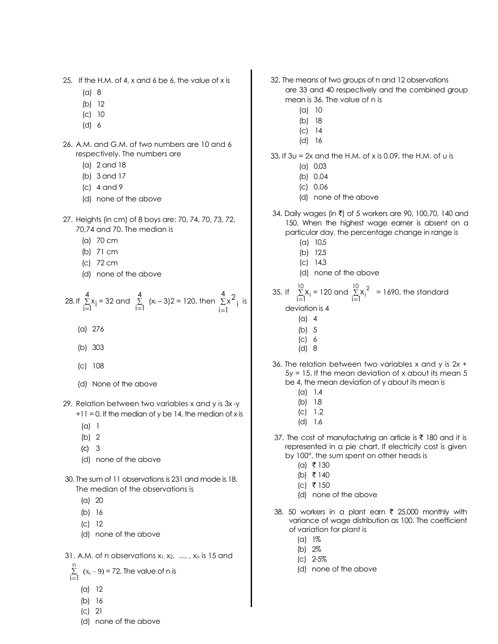- 25. If the H.M. of 4, x and 6 be 6, the value of x is
	- (a) 8
	- (b) 12
	- (c) 10
	- (d) 6
- 26. A.M. and G.M. of two numbers are 10 and 6 respectively. The numbers are
	- (a) 2 and 18
	- (b) 3 and 17
	- (c) 4 and 9
	- (d) none of the above
- 27. Heights (in cm) of 8 boys are: 70, 74, 70, 73, 72, 70,74 and 70. The median is
	- (a) 70 cm
	- (b) 71 cm
	- (c) 72 cm
	- (d) none of the above

28. If 
$$
\sum_{i=1}^{4} x_i = 32
$$
 and  $\sum_{i=1}^{4} (x_i - 3)2 = 120$ , then  $\sum_{i=1}^{4} x_i^2$  is

- (a) 276
- (b) 303
- (c) 108
- (d) None of the above
- 29. Relation between two variables x and y is 3x -y
	- $+11 = 0$ . If the median of y be 14, the median of x is
	- (a) 1
	- (b) 2
	- (c) 3
	- (d) none of the above
- 30. The sum of 11 observations is 231 and mode is 18. The median of the observations is
	- (a) 20
	- (b) 16
	- (c) 12
	- (d) none of the above
- 31. A.M. of n observations  $x_1, x_2, \ldots, x_n$  is 15 and

$$
\sum_{i=1}^{n} (x_i - 9) = 72
$$
. The value of n is

- (a) 12
- (b) 16
- (c) 21
- (d) none of the above
- 32. The means of two groups of n and 12 observations are 33 and 40 respectively and the combined group mean is 36. The value of n is
	- (a) 10
	- (b) 18
	- (c) 14
	- (d) 16
- 33. If  $3u = 2x$  and the H.M. of x is 0.09, the H.M. of u is
	- (a) 0.03
	- (b) 0.04
	- (c) 0.06
	- (d) none of the above
- 34. Daily wages (in ₹) of 5 workers are 90, 100,70, 140 and 150. When the highest wage earner is absent on a particular day, the percentage change in range is
	- (a) 10.5
	- (b) 12.5
	- (c) 14.3
	- (d) none of the above

35. If 
$$
\sum_{i=1}^{10} x_i = 120
$$
 and  $\sum_{i=1}^{10} x_i^2 = 1690$ , the standard

deviation is 4

- $(a)$  4
- (b) 5
- (c) 6
- (d) 8
- 36. The relation between two variables x and y is  $2x +$ 5y = 15. If the mean deviation of x about its mean 5 be 4, the mean deviation of y about its mean is
	- (a) 1.4
	- (b) 1.8
	- (c) 1.2
	- (d) 1.6
- 37. The cost of manufacturing an article is  $\bar{\tau}$  180 and it is represented in a pie chart. If electricity cost is given by 100°, the sum spent on other heads is
	- $(a)$  ₹ 130
	- (b) ₹ 140
	- $|c|$  ₹ 150
	- (d) none of the above
- 38. 50 workers in a plant earn  $\bar{\tau}$  25,000 monthly with variance of wage distribution as 100. The coefficient of variation for plant is
	- (a) 1%
	- (b) 2%
	- (c) 2-5%
	- (d) none of the above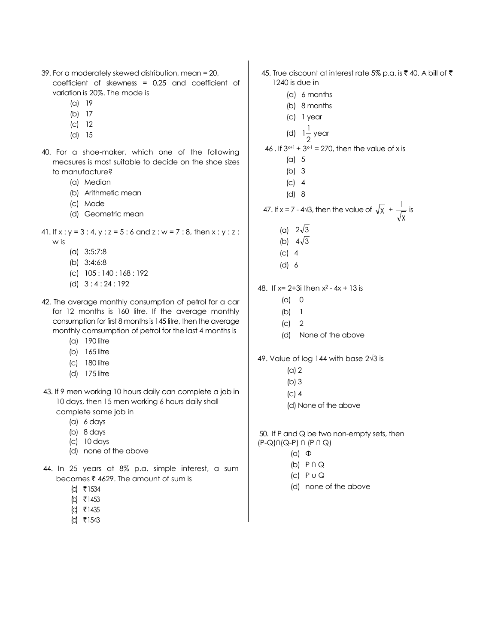- 39. For a moderately skewed distribution, mean = 20, coefficient of skewness = 0.25 and coefficient of variation is 20%. The mode is
	- (a) 19
	- (b) 17
	- (c) 12
	- (d) 15
- 40. For a shoe-maker, which one of the following measures is most suitable to decide on the shoe sizes to manufacture?
	- (a) Median
	- (b) Arithmetic mean
	- (c) Mode
	- (d) Geometric mean
- 41. If  $x : y = 3 : 4$ ,  $y : z = 5 : 6$  and  $z : w = 7 : 8$ , then  $x : y : z : z$ 
	- w is
		- (a) 3:5:7:8
		- (b) 3:4:6:8
		- (c) 105 : 140 : 168 : 192
		- (d) 3 : 4 : 24 : 192
- 42. The average monthly consumption of petrol for a car for 12 months is 160 litre. If the average monthly consumption for first 8 months is 145 litre, then the average monthly comsumption of petrol for the last 4 months is
	- (a) 190 litre
	- (b) 165 litre
	- (c) 180 litre
	- (d) 175 litre
- 43. If 9 men working 10 hours daily can complete a job in 10 days, then 15 men working 6 hours daily shall complete same job in
	- (a) 6 days
	- (b) 8 days
	- (c) 10 days
	- (d) none of the above
- 44. In 25 years at 8% p.a. simple interest, a sum becomes  $\bar{\bar{\xi}}$  4629. The amount of sum is
	- $\lceil d \rceil$  ₹ 1534
	- $|b|$  ₹ 1453
	- $|C|$  ₹ 1435
	- $\text{d}$  ₹1543
- 45. True discount at interest rate 5% p.a. is ₹ 40. A bill of ₹ 1240 is due in (a) 6 months (b) 8 months (c) 1 year (d)  $1\frac{1}{2}$ 1 1 year 46 . If  $3^{x+1}$  +  $3^{x-1}$  = 270, then the value of x is (a) 5 (b) 3 (c) 4 (d) 8 47. If  $x = 7 - 4\sqrt{3}$ , then the value of  $\sqrt{x}$  + χ  $\frac{1}{\sqrt{1}}$  is (a)  $2\sqrt{3}$ (b)  $4\sqrt{3}$ (c) 4 (d) 6 48. If x= 2+3i then x 2 - 4x + 13 is (a) 0 (b) 1 (c) 2 (d) None of the above 49. Value of log 144 with base 2√3 is (a) 2 (b) 3 (c) 4 (d) None of the above 50. If P and Q be two non-empty sets, then
- (P-Q)∩(Q-P) ∩ (P ∩ Q)
	- (a) Φ
	- (b) P ∩ Q
	- $|C|$   $P \cup Q$
	- (d) none of the above